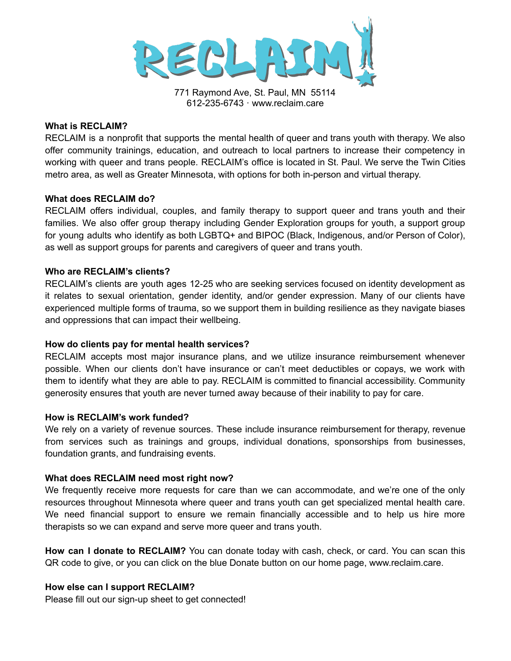

771 Raymond Ave, St. Paul, MN 55114 612-235-6743 · www.reclaim.care

### **What is RECLAIM?**

RECLAIM is a nonprofit that supports the mental health of queer and trans youth with therapy. We also offer community trainings, education, and outreach to local partners to increase their competency in working with queer and trans people. RECLAIM's office is located in St. Paul. We serve the Twin Cities metro area, as well as Greater Minnesota, with options for both in-person and virtual therapy.

### **What does RECLAIM do?**

RECLAIM offers individual, couples, and family therapy to support queer and trans youth and their families. We also offer group therapy including Gender Exploration groups for youth, a support group for young adults who identify as both LGBTQ+ and BIPOC (Black, Indigenous, and/or Person of Color), as well as support groups for parents and caregivers of queer and trans youth.

# **Who are RECLAIM's clients?**

RECLAIM's clients are youth ages 12-25 who are seeking services focused on identity development as it relates to sexual orientation, gender identity, and/or gender expression. Many of our clients have experienced multiple forms of trauma, so we support them in building resilience as they navigate biases and oppressions that can impact their wellbeing.

# **How do clients pay for mental health services?**

RECLAIM accepts most major insurance plans, and we utilize insurance reimbursement whenever possible. When our clients don't have insurance or can't meet deductibles or copays, we work with them to identify what they are able to pay. RECLAIM is committed to financial accessibility. Community generosity ensures that youth are never turned away because of their inability to pay for care.

### **How is RECLAIM's work funded?**

We rely on a variety of revenue sources. These include insurance reimbursement for therapy, revenue from services such as trainings and groups, individual donations, sponsorships from businesses, foundation grants, and fundraising events.

# **What does RECLAIM need most right now?**

We frequently receive more requests for care than we can accommodate, and we're one of the only resources throughout Minnesota where queer and trans youth can get specialized mental health care. We need financial support to ensure we remain financially accessible and to help us hire more therapists so we can expand and serve more queer and trans youth.

**How can I donate to RECLAIM?** You can donate today with cash, check, or card. You can scan this QR code to give, or you can click on the blue Donate button on our home page, www.reclaim.care.

# **How else can I support RECLAIM?**

Please fill out our sign-up sheet to get connected!